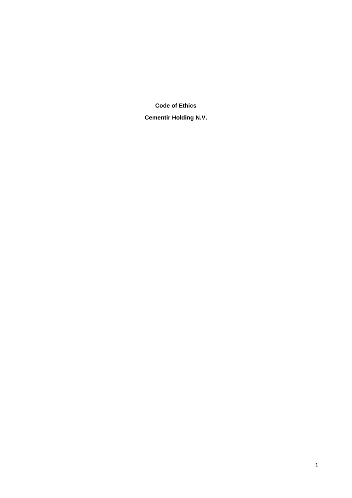**Code of Ethics** 

**Cementir Holding N.V.**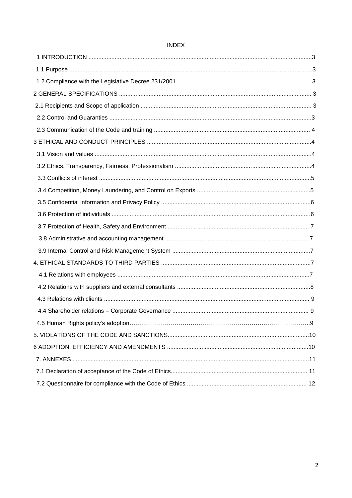# **INDEX**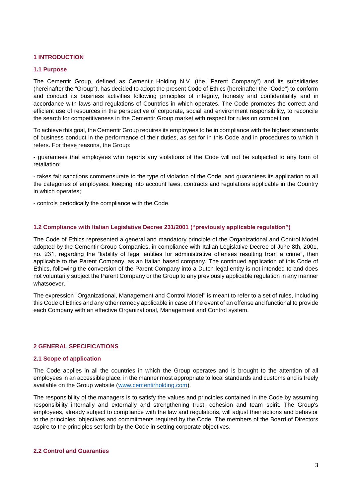# **1 INTRODUCTION**

#### **1.1 Purpose**

The Cementir Group, defined as Cementir Holding N.V. (the "Parent Company") and its subsidiaries (hereinafter the "Group"), has decided to adopt the present Code of Ethics (hereinafter the "Code") to conform and conduct its business activities following principles of integrity, honesty and confidentiality and in accordance with laws and regulations of Countries in which operates. The Code promotes the correct and efficient use of resources in the perspective of corporate, social and environment responsibility, to reconcile the search for competitiveness in the Cementir Group market with respect for rules on competition.

To achieve this goal, the Cementir Group requires its employees to be in compliance with the highest standards of business conduct in the performance of their duties, as set for in this Code and in procedures to which it refers. For these reasons, the Group:

- guarantees that employees who reports any violations of the Code will not be subjected to any form of retaliation;

- takes fair sanctions commensurate to the type of violation of the Code, and guarantees its application to all the categories of employees, keeping into account laws, contracts and regulations applicable in the Country in which operates;

- controls periodically the compliance with the Code.

#### **1.2 Compliance with Italian Legislative Decree 231/2001 ("previously applicable regulation")**

The Code of Ethics represented a general and mandatory principle of the Organizational and Control Model adopted by the Cementir Group Companies, in compliance with Italian Legislative Decree of June 8th, 2001, no. 231, regarding the "liability of legal entities for administrative offenses resulting from a crime", then applicable to the Parent Company, as an Italian based company. The continued application of this Code of Ethics, following the conversion of the Parent Company into a Dutch legal entity is not intended to and does not voluntarily subject the Parent Company or the Group to any previously applicable regulation in any manner whatsoever.

The expression "Organizational, Management and Control Model" is meant to refer to a set of rules, including this Code of Ethics and any other remedy applicable in case of the event of an offense and functional to provide each Company with an effective Organizational, Management and Control system.

# **2 GENERAL SPECIFICATIONS**

#### **2.1 Scope of application**

The Code applies in all the countries in which the Group operates and is brought to the attention of all employees in an accessible place, in the manner most appropriate to local standards and customs and is freely available on the Group website [\(www.cementirholding.c](http://www.cementirholding./)om).

The responsibility of the managers is to satisfy the values and principles contained in the Code by assuming responsibility internally and externally and strengthening trust, cohesion and team spirit. The Group's employees, already subject to compliance with the law and regulations, will adjust their actions and behavior to the principles, objectives and commitments required by the Code. The members of the Board of Directors aspire to the principles set forth by the Code in setting corporate objectives.

# **2.2 Control and Guaranties**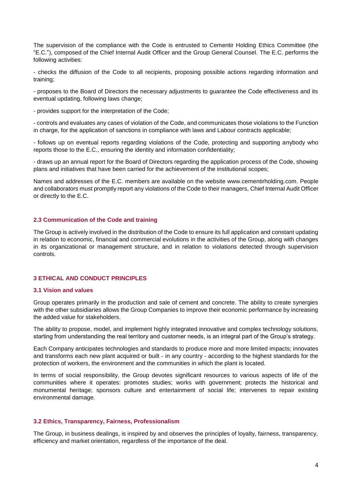The supervision of the compliance with the Code is entrusted to Cementir Holding Ethics Committee (the "E.C."), composed of the Chief Internal Audit Officer and the Group General Counsel. The E.C. performs the following activities:

- checks the diffusion of the Code to all recipients, proposing possible actions regarding information and training;

- proposes to the Board of Directors the necessary adjustments to guarantee the Code effectiveness and its eventual updating, following laws change;

- provides support for the interpretation of the Code;

- controls and evaluates any cases of violation of the Code, and communicates those violations to the Function in charge, for the application of sanctions in compliance with laws and Labour contracts applicable;

- follows up on eventual reports regarding violations of the Code, protecting and supporting anybody who reports those to the E.C., ensuring the identity and information confidentiality;

- draws up an annual report for the Board of Directors regarding the application process of the Code, showing plans and initiatives that have been carried for the achievement of the institutional scopes;

Names and addresses of the E.C. members are available on the website www.cementirholding.com. People and collaborators must promptly report any violations of the Code to their managers, Chief Internal Audit Officer or directly to the E.C.

### **2.3 Communication of the Code and training**

The Group is actively involved in the distribution of the Code to ensure its full application and constant updating in relation to economic, financial and commercial evolutions in the activities of the Group, along with changes in its organizational or management structure, and in relation to violations detected through supervision controls.

# **3 ETHICAL AND CONDUCT PRINCIPLES**

#### **3.1 Vision and values**

Group operates primarily in the production and sale of cement and concrete. The ability to create synergies with the other subsidiaries allows the Group Companies to improve their economic performance by increasing the added value for stakeholders.

The ability to propose, model, and implement highly integrated innovative and complex technology solutions, starting from understanding the real territory and customer needs, is an integral part of the Group's strategy.

Each Company anticipates technologies and standards to produce more and more limited impacts; innovates and transforms each new plant acquired or built - in any country - according to the highest standards for the protection of workers, the environment and the communities in which the plant is located.

In terms of social responsibility, the Group devotes significant resources to various aspects of life of the communities where it operates: promotes studies; works with government; protects the historical and monumental heritage; sponsors culture and entertainment of social life; intervenes to repair existing environmental damage.

#### **3.2 Ethics, Transparency, Fairness, Professionalism**

The Group, in business dealings, is inspired by and observes the principles of loyalty, fairness, transparency, efficiency and market orientation, regardless of the importance of the deal.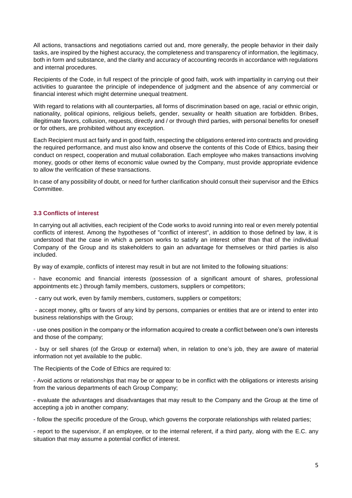All actions, transactions and negotiations carried out and, more generally, the people behavior in their daily tasks, are inspired by the highest accuracy, the completeness and transparency of information, the legitimacy, both in form and substance, and the clarity and accuracy of accounting records in accordance with regulations and internal procedures.

Recipients of the Code, in full respect of the principle of good faith, work with impartiality in carrying out their activities to guarantee the principle of independence of judgment and the absence of any commercial or financial interest which might determine unequal treatment.

With regard to relations with all counterparties, all forms of discrimination based on age, racial or ethnic origin, nationality, political opinions, religious beliefs, gender, sexuality or health situation are forbidden. Bribes, illegitimate favors, collusion, requests, directly and / or through third parties, with personal benefits for oneself or for others, are prohibited without any exception.

Each Recipient must act fairly and in good faith, respecting the obligations entered into contracts and providing the required performance, and must also know and observe the contents of this Code of Ethics, basing their conduct on respect, cooperation and mutual collaboration. Each employee who makes transactions involving money, goods or other items of economic value owned by the Company, must provide appropriate evidence to allow the verification of these transactions.

In case of any possibility of doubt, or need for further clarification should consult their supervisor and the Ethics Committee.

# **3.3 Conflicts of interest**

In carrying out all activities, each recipient of the Code works to avoid running into real or even merely potential conflicts of interest. Among the hypotheses of "conflict of interest", in addition to those defined by law, it is understood that the case in which a person works to satisfy an interest other than that of the individual Company of the Group and its stakeholders to gain an advantage for themselves or third parties is also included.

By way of example, conflicts of interest may result in but are not limited to the following situations:

- have economic and financial interests (possession of a significant amount of shares, professional appointments etc.) through family members, customers, suppliers or competitors;

- carry out work, even by family members, customers, suppliers or competitors;

- accept money, gifts or favors of any kind by persons, companies or entities that are or intend to enter into business relationships with the Group;

- use ones position in the company or the information acquired to create a conflict between one's own interests and those of the company;

- buy or sell shares (of the Group or external) when, in relation to one's job, they are aware of material information not yet available to the public.

The Recipients of the Code of Ethics are required to:

- Avoid actions or relationships that may be or appear to be in conflict with the obligations or interests arising from the various departments of each Group Company;

- evaluate the advantages and disadvantages that may result to the Company and the Group at the time of accepting a job in another company;

- follow the specific procedure of the Group, which governs the corporate relationships with related parties;

- report to the supervisor, if an employee, or to the internal referent, if a third party, along with the E.C. any situation that may assume a potential conflict of interest.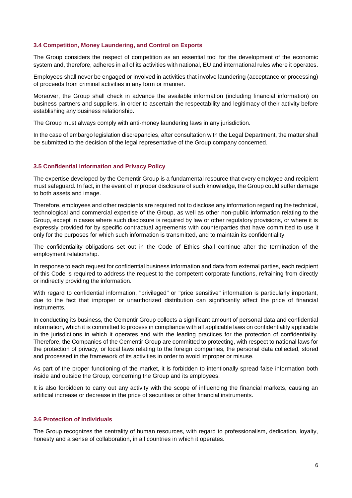### **3.4 Competition, Money Laundering, and Control on Exports**

The Group considers the respect of competition as an essential tool for the development of the economic system and, therefore, adheres in all of its activities with national, EU and international rules where it operates.

Employees shall never be engaged or involved in activities that involve laundering (acceptance or processing) of proceeds from criminal activities in any form or manner.

Moreover, the Group shall check in advance the available information (including financial information) on business partners and suppliers, in order to ascertain the respectability and legitimacy of their activity before establishing any business relationship.

The Group must always comply with anti-money laundering laws in any jurisdiction.

In the case of embargo legislation discrepancies, after consultation with the Legal Department, the matter shall be submitted to the decision of the legal representative of the Group company concerned.

### **3.5 Confidential information and Privacy Policy**

The expertise developed by the Cementir Group is a fundamental resource that every employee and recipient must safeguard. In fact, in the event of improper disclosure of such knowledge, the Group could suffer damage to both assets and image.

Therefore, employees and other recipients are required not to disclose any information regarding the technical, technological and commercial expertise of the Group, as well as other non-public information relating to the Group, except in cases where such disclosure is required by law or other regulatory provisions, or where it is expressly provided for by specific contractual agreements with counterparties that have committed to use it only for the purposes for which such information is transmitted, and to maintain its confidentiality.

The confidentiality obligations set out in the Code of Ethics shall continue after the termination of the employment relationship.

In response to each request for confidential business information and data from external parties, each recipient of this Code is required to address the request to the competent corporate functions, refraining from directly or indirectly providing the information.

With regard to confidential information, "privileged" or "price sensitive" information is particularly important, due to the fact that improper or unauthorized distribution can significantly affect the price of financial instruments.

In conducting its business, the Cementir Group collects a significant amount of personal data and confidential information, which it is committed to process in compliance with all applicable laws on confidentiality applicable in the jurisdictions in which it operates and with the leading practices for the protection of confidentiality. Therefore, the Companies of the Cementir Group are committed to protecting, with respect to national laws for the protection of privacy, or local laws relating to the foreign companies, the personal data collected, stored and processed in the framework of its activities in order to avoid improper or misuse.

As part of the proper functioning of the market, it is forbidden to intentionally spread false information both inside and outside the Group, concerning the Group and its employees.

It is also forbidden to carry out any activity with the scope of influencing the financial markets, causing an artificial increase or decrease in the price of securities or other financial instruments.

### **3.6 Protection of individuals**

The Group recognizes the centrality of human resources, with regard to professionalism, dedication, loyalty, honesty and a sense of collaboration, in all countries in which it operates.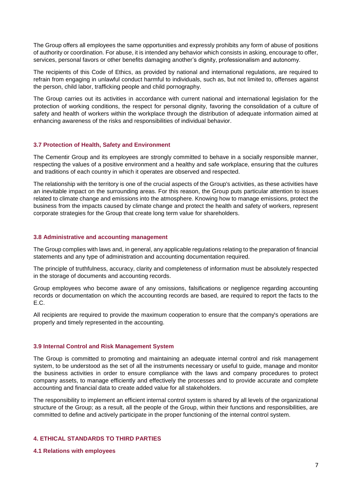The Group offers all employees the same opportunities and expressly prohibits any form of abuse of positions of authority or coordination. For abuse, it is intended any behavior which consists in asking, encourage to offer, services, personal favors or other benefits damaging another's dignity, professionalism and autonomy.

The recipients of this Code of Ethics, as provided by national and international regulations, are required to refrain from engaging in unlawful conduct harmful to individuals, such as, but not limited to, offenses against the person, child labor, trafficking people and child pornography.

The Group carries out its activities in accordance with current national and international legislation for the protection of working conditions, the respect for personal dignity, favoring the consolidation of a culture of safety and health of workers within the workplace through the distribution of adequate information aimed at enhancing awareness of the risks and responsibilities of individual behavior.

# **3.7 Protection of Health, Safety and Environment**

The Cementir Group and its employees are strongly committed to behave in a socially responsible manner, respecting the values of a positive environment and a healthy and safe workplace, ensuring that the cultures and traditions of each country in which it operates are observed and respected.

The relationship with the territory is one of the crucial aspects of the Group's activities, as these activities have an inevitable impact on the surrounding areas. For this reason, the Group puts particular attention to issues related to climate change and emissions into the atmosphere. Knowing how to manage emissions, protect the business from the impacts caused by climate change and protect the health and safety of workers, represent corporate strategies for the Group that create long term value for shareholders.

#### **3.8 Administrative and accounting management**

The Group complies with laws and, in general, any applicable regulations relating to the preparation of financial statements and any type of administration and accounting documentation required.

The principle of truthfulness, accuracy, clarity and completeness of information must be absolutely respected in the storage of documents and accounting records.

Group employees who become aware of any omissions, falsifications or negligence regarding accounting records or documentation on which the accounting records are based, are required to report the facts to the E.C.

All recipients are required to provide the maximum cooperation to ensure that the company's operations are properly and timely represented in the accounting.

# **3.9 Internal Control and Risk Management System**

The Group is committed to promoting and maintaining an adequate internal control and risk management system, to be understood as the set of all the instruments necessary or useful to guide, manage and monitor the business activities in order to ensure compliance with the laws and company procedures to protect company assets, to manage efficiently and effectively the processes and to provide accurate and complete accounting and financial data to create added value for all stakeholders.

The responsibility to implement an efficient internal control system is shared by all levels of the organizational structure of the Group; as a result, all the people of the Group, within their functions and responsibilities, are committed to define and actively participate in the proper functioning of the internal control system.

# **4. ETHICAL STANDARDS TO THIRD PARTIES**

#### **4.1 Relations with employees**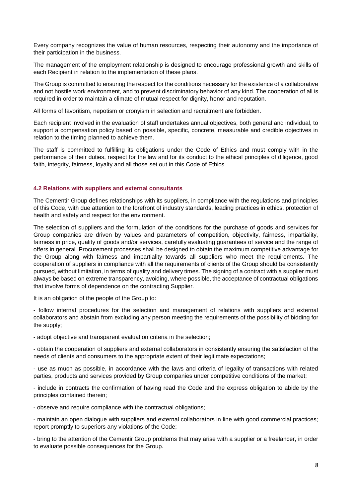Every company recognizes the value of human resources, respecting their autonomy and the importance of their participation in the business.

The management of the employment relationship is designed to encourage professional growth and skills of each Recipient in relation to the implementation of these plans.

The Group is committed to ensuring the respect for the conditions necessary for the existence of a collaborative and not hostile work environment, and to prevent discriminatory behavior of any kind. The cooperation of all is required in order to maintain a climate of mutual respect for dignity, honor and reputation.

All forms of favoritism, nepotism or cronyism in selection and recruitment are forbidden.

Each recipient involved in the evaluation of staff undertakes annual objectives, both general and individual, to support a compensation policy based on possible, specific, concrete, measurable and credible objectives in relation to the timing planned to achieve them.

The staff is committed to fulfilling its obligations under the Code of Ethics and must comply with in the performance of their duties, respect for the law and for its conduct to the ethical principles of diligence, good faith, integrity, fairness, loyalty and all those set out in this Code of Ethics.

### **4.2 Relations with suppliers and external consultants**

The Cementir Group defines relationships with its suppliers, in compliance with the regulations and principles of this Code, with due attention to the forefront of industry standards, leading practices in ethics, protection of health and safety and respect for the environment.

The selection of suppliers and the formulation of the conditions for the purchase of goods and services for Group companies are driven by values and parameters of competition, objectivity, fairness, impartiality, fairness in price, quality of goods and/or services, carefully evaluating guarantees of service and the range of offers in general. Procurement processes shall be designed to obtain the maximum competitive advantage for the Group along with fairness and impartiality towards all suppliers who meet the requirements. The cooperation of suppliers in compliance with all the requirements of clients of the Group should be consistently pursued, without limitation, in terms of quality and delivery times. The signing of a contract with a supplier must always be based on extreme transparency, avoiding, where possible, the acceptance of contractual obligations that involve forms of dependence on the contracting Supplier.

It is an obligation of the people of the Group to:

- follow internal procedures for the selection and management of relations with suppliers and external collaborators and abstain from excluding any person meeting the requirements of the possibility of bidding for the supply;

- adopt objective and transparent evaluation criteria in the selection;

- obtain the cooperation of suppliers and external collaborators in consistently ensuring the satisfaction of the needs of clients and consumers to the appropriate extent of their legitimate expectations;

- use as much as possible, in accordance with the laws and criteria of legality of transactions with related parties, products and services provided by Group companies under competitive conditions of the market;

- include in contracts the confirmation of having read the Code and the express obligation to abide by the principles contained therein;

- observe and require compliance with the contractual obligations;

- maintain an open dialogue with suppliers and external collaborators in line with good commercial practices; report promptly to superiors any violations of the Code;

- bring to the attention of the Cementir Group problems that may arise with a supplier or a freelancer, in order to evaluate possible consequences for the Group.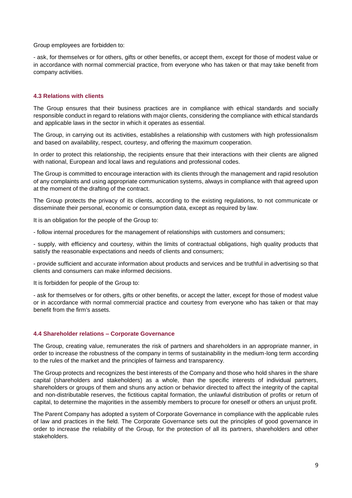Group employees are forbidden to:

- ask, for themselves or for others, gifts or other benefits, or accept them, except for those of modest value or in accordance with normal commercial practice, from everyone who has taken or that may take benefit from company activities.

### **4.3 Relations with clients**

The Group ensures that their business practices are in compliance with ethical standards and socially responsible conduct in regard to relations with major clients, considering the compliance with ethical standards and applicable laws in the sector in which it operates as essential.

The Group, in carrying out its activities, establishes a relationship with customers with high professionalism and based on availability, respect, courtesy, and offering the maximum cooperation.

In order to protect this relationship, the recipients ensure that their interactions with their clients are aligned with national, European and local laws and regulations and professional codes.

The Group is committed to encourage interaction with its clients through the management and rapid resolution of any complaints and using appropriate communication systems, always in compliance with that agreed upon at the moment of the drafting of the contract.

The Group protects the privacy of its clients, according to the existing regulations, to not communicate or disseminate their personal, economic or consumption data, except as required by law.

It is an obligation for the people of the Group to:

- follow internal procedures for the management of relationships with customers and consumers;

- supply, with efficiency and courtesy, within the limits of contractual obligations, high quality products that satisfy the reasonable expectations and needs of clients and consumers;

- provide sufficient and accurate information about products and services and be truthful in advertising so that clients and consumers can make informed decisions.

It is forbidden for people of the Group to:

- ask for themselves or for others, gifts or other benefits, or accept the latter, except for those of modest value or in accordance with normal commercial practice and courtesy from everyone who has taken or that may benefit from the firm's assets.

#### **4.4 Shareholder relations – Corporate Governance**

The Group, creating value, remunerates the risk of partners and shareholders in an appropriate manner, in order to increase the robustness of the company in terms of sustainability in the medium-long term according to the rules of the market and the principles of fairness and transparency.

The Group protects and recognizes the best interests of the Company and those who hold shares in the share capital (shareholders and stakeholders) as a whole, than the specific interests of individual partners, shareholders or groups of them and shuns any action or behavior directed to affect the integrity of the capital and non-distributable reserves, the fictitious capital formation, the unlawful distribution of profits or return of capital, to determine the majorities in the assembly members to procure for oneself or others an unjust profit.

The Parent Company has adopted a system of Corporate Governance in compliance with the applicable rules of law and practices in the field. The Corporate Governance sets out the principles of good governance in order to increase the reliability of the Group, for the protection of all its partners, shareholders and other stakeholders.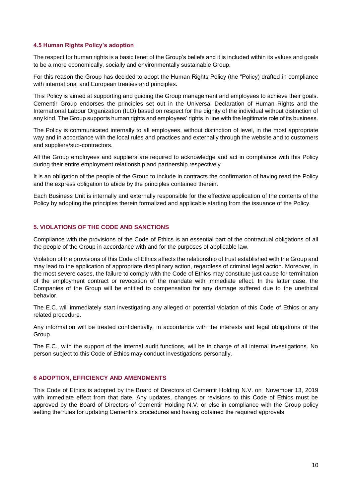# **4.5 Human Rights Policy's adoption**

The respect for human rights is a basic tenet of the Group's beliefs and it is included within its values and goals to be a more economically, socially and environmentally sustainable Group.

For this reason the Group has decided to adopt the Human Rights Policy (the "Policy) drafted in compliance with international and European treaties and principles.

This Policy is aimed at supporting and guiding the Group management and employees to achieve their goals. Cementir Group endorses the principles set out in the Universal Declaration of Human Rights and the International Labour Organization (ILO) based on respect for the dignity of the individual without distinction of any kind. The Group supports human rights and employees' rights in line with the legitimate role of its business.

The Policy is communicated internally to all employees, without distinction of level, in the most appropriate way and in accordance with the local rules and practices and externally through the website and to customers and suppliers/sub-contractors.

All the Group employees and suppliers are required to acknowledge and act in compliance with this Policy during their entire employment relationship and partnership respectively.

It is an obligation of the people of the Group to include in contracts the confirmation of having read the Policy and the express obligation to abide by the principles contained therein.

Each Business Unit is internally and externally responsible for the effective application of the contents of the Policy by adopting the principles therein formalized and applicable starting from the issuance of the Policy.

# **5. VIOLATIONS OF THE CODE AND SANCTIONS**

Compliance with the provisions of the Code of Ethics is an essential part of the contractual obligations of all the people of the Group in accordance with and for the purposes of applicable law.

Violation of the provisions of this Code of Ethics affects the relationship of trust established with the Group and may lead to the application of appropriate disciplinary action, regardless of criminal legal action. Moreover, in the most severe cases, the failure to comply with the Code of Ethics may constitute just cause for termination of the employment contract or revocation of the mandate with immediate effect. In the latter case, the Companies of the Group will be entitled to compensation for any damage suffered due to the unethical behavior.

The E.C. will immediately start investigating any alleged or potential violation of this Code of Ethics or any related procedure.

Any information will be treated confidentially, in accordance with the interests and legal obligations of the Group.

The E.C., with the support of the internal audit functions, will be in charge of all internal investigations. No person subject to this Code of Ethics may conduct investigations personally.

### **6 ADOPTION, EFFICIENCY AND AMENDMENTS**

This Code of Ethics is adopted by the Board of Directors of Cementir Holding N.V. on November 13, 2019 with immediate effect from that date. Any updates, changes or revisions to this Code of Ethics must be approved by the Board of Directors of Cementir Holding N.V. or else in compliance with the Group policy setting the rules for updating Cementir's procedures and having obtained the required approvals.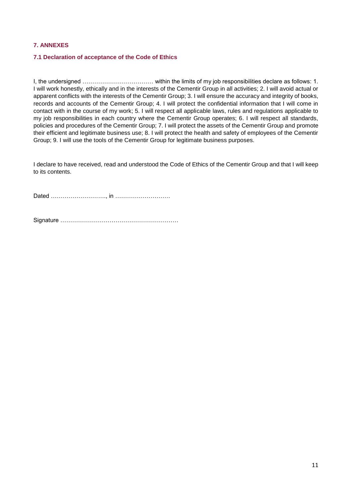### **7. ANNEXES**

### **7.1 Declaration of acceptance of the Code of Ethics**

I, the undersigned ……………………………… within the limits of my job responsibilities declare as follows: 1. I will work honestly, ethically and in the interests of the Cementir Group in all activities; 2. I will avoid actual or apparent conflicts with the interests of the Cementir Group; 3. I will ensure the accuracy and integrity of books, records and accounts of the Cementir Group; 4. I will protect the confidential information that I will come in contact with in the course of my work; 5. I will respect all applicable laws, rules and regulations applicable to my job responsibilities in each country where the Cementir Group operates; 6. I will respect all standards, policies and procedures of the Cementir Group; 7. I will protect the assets of the Cementir Group and promote their efficient and legitimate business use; 8. I will protect the health and safety of employees of the Cementir Group; 9. I will use the tools of the Cementir Group for legitimate business purposes.

I declare to have received, read and understood the Code of Ethics of the Cementir Group and that I will keep to its contents.

Dated ………………………., in ……………………….

Signature ……………………………………………………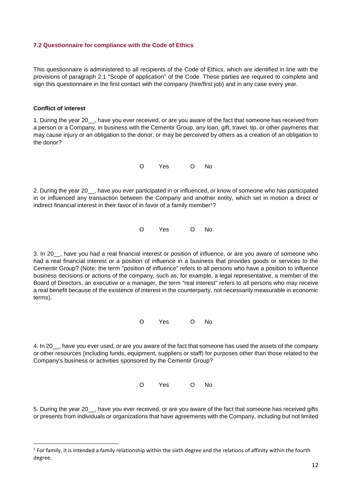### **7.2 Questionnaire for compliance with the Code of Ethics**

This questionnaire is administered to all recipients of the Code of Ethics, which are identified in line with the provisions of paragraph 2.1 "Scope of application" of the Code. These parties are required to complete and sign this questionnaire in the first contact with the company (hire/first job) and in any case every year.

### **Conflict of interest**

**.** 

1. During the year 20\_\_, have you ever received, or are you aware of the fact that someone has received from a person or a Company, in business with the Cementir Group, any loan, gift, travel, tip, or other payments that may cause injury or an obligation to the donor, or may be perceived by others as a creation of an obligation to the donor?

O Yes O No

2. During the year 20\_\_, have you ever participated in or influenced, or know of someone who has participated in or influenced any transaction between the Company and another entity, which set in motion a direct or indirect financial interest in their favor of in favor of a family member<sup>1</sup>?

O Yes O No

3. In 20\_\_, have you had a real financial interest or position of influence, or are you aware of someone who had a real financial interest or a position of influence in a business that provides goods or services to the Cementir Group? (Note: the term "position of influence" refers to all persons who have a position to influence business decisions or actions of the company, such as, for example, a legal representative, a member of the Board of Directors, an executive or a manager, the term "real interest" refers to all persons who may receive a real benefit because of the existence of interest in the counterparty, not necessarily measurable in economic terms).

O Yes O No

4. In 20\_\_, have you ever used, or are you aware of the fact that someone has used the assets of the company or other resources (including funds, equipment, suppliers or staff) for purposes other than those related to the Company's business or activities sponsored by the Cementir Group?

O Yes O No

5. During the year 20\_\_, have you ever received, or are you aware of the fact that someone has received gifts or presents from individuals or organizations that have agreements with the Company, including but not limited

 $1$  For family, it is intended a family relationship within the sixth degree and the relations of affinity within the fourth degree.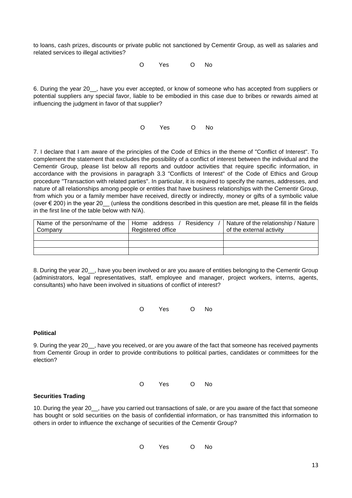to loans, cash prizes, discounts or private public not sanctioned by Cementir Group, as well as salaries and related services to illegal activities?

O Yes O No

6. During the year 20\_\_, have you ever accepted, or know of someone who has accepted from suppliers or potential suppliers any special favor, liable to be embodied in this case due to bribes or rewards aimed at influencing the judgment in favor of that supplier?

O Yes O No

7. I declare that I am aware of the principles of the Code of Ethics in the theme of "Conflict of Interest". To complement the statement that excludes the possibility of a conflict of interest between the individual and the Cementir Group, please list below all reports and outdoor activities that require specific information, in accordance with the provisions in paragraph 3.3 "Conflicts of Interest" of the Code of Ethics and Group procedure "Transaction with related parties". In particular, it is required to specify the names, addresses, and nature of all relationships among people or entities that have business relationships with the Cementir Group, from which you or a family member have received, directly or indirectly, money or gifts of a symbolic value (over € 200) in the year 20\_\_ (unless the conditions described in this question are met, please fill in the fields in the first line of the table below with N/A).

| Name of the person/name of the   Home address / | Residency         | Nature of the relationship / Nature |
|-------------------------------------------------|-------------------|-------------------------------------|
| Company                                         | Registered office | of the external activity            |
|                                                 |                   |                                     |
|                                                 |                   |                                     |
|                                                 |                   |                                     |

8. During the year 20 , have you been involved or are you aware of entities belonging to the Cementir Group (administrators, legal representatives, staff, employee and manager, project workers, interns, agents, consultants) who have been involved in situations of conflict of interest?

O Yes O No

# **Political**

9. During the year 20 , have you received, or are you aware of the fact that someone has received payments from Cementir Group in order to provide contributions to political parties, candidates or committees for the election?

O Yes O No

# **Securities Trading**

10. During the year 20\_\_, have you carried out transactions of sale, or are you aware of the fact that someone has bought or sold securities on the basis of confidential information, or has transmitted this information to others in order to influence the exchange of securities of the Cementir Group?

O Yes O No